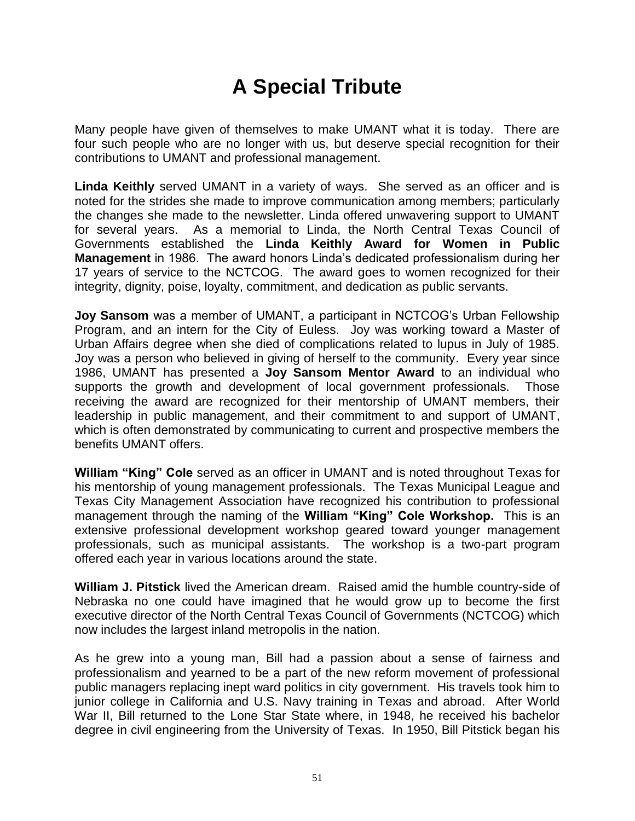## **A Special Tribute**

Many people have given of themselves to make UMANT what it is today. There are four such people who are no longer with us, but deserve special recognition for their contributions to UMANT and professional management.

**Linda Keithly** served UMANT in a variety of ways. She served as an officer and is noted for the strides she made to improve communication among members; particularly the changes she made to the newsletter. Linda offered unwavering support to UMANT for several years. As a memorial to Linda, the North Central Texas Council of Governments established the **Linda Keithly Award for Women in Public Management** in 1986. The award honors Linda's dedicated professionalism during her 17 years of service to the NCTCOG. The award goes to women recognized for their integrity, dignity, poise, loyalty, commitment, and dedication as public servants.

**Joy Sansom** was a member of UMANT, a participant in NCTCOG's Urban Fellowship Program, and an intern for the City of Euless. Joy was working toward a Master of Urban Affairs degree when she died of complications related to lupus in July of 1985. Joy was a person who believed in giving of herself to the community. Every year since 1986, UMANT has presented a **Joy Sansom Mentor Award** to an individual who supports the growth and development of local government professionals. Those receiving the award are recognized for their mentorship of UMANT members, their leadership in public management, and their commitment to and support of UMANT, which is often demonstrated by communicating to current and prospective members the benefits UMANT offers.

**William "King" Cole** served as an officer in UMANT and is noted throughout Texas for his mentorship of young management professionals. The Texas Municipal League and Texas City Management Association have recognized his contribution to professional management through the naming of the **William "King" Cole Workshop.** This is an extensive professional development workshop geared toward younger management professionals, such as municipal assistants. The workshop is a two-part program offered each year in various locations around the state.

**William J. Pitstick** lived the American dream. Raised amid the humble country-side of Nebraska no one could have imagined that he would grow up to become the first executive director of the North Central Texas Council of Governments (NCTCOG) which now includes the largest inland metropolis in the nation.

As he grew into a young man, Bill had a passion about a sense of fairness and professionalism and yearned to be a part of the new reform movement of professional public managers replacing inept ward politics in city government. His travels took him to junior college in California and U.S. Navy training in Texas and abroad. After World War II, Bill returned to the Lone Star State where, in 1948, he received his bachelor degree in civil engineering from the University of Texas. In 1950, Bill Pitstick began his